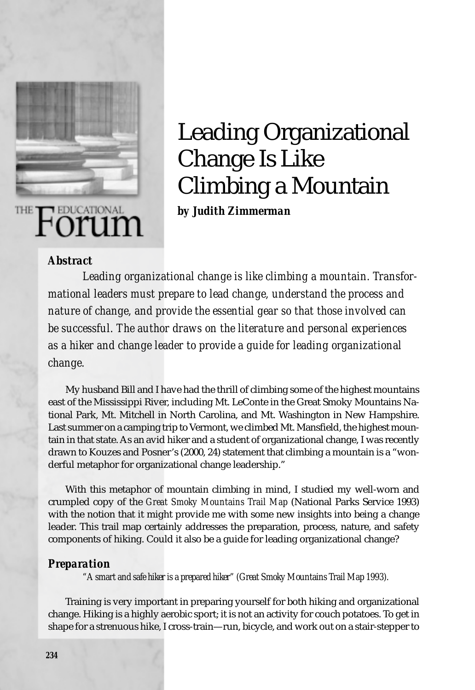

# Leading Organizational Change Is Like Climbing a Mountain

*by Judith Zimmerman*

#### *Abstract*

*Leading organizational change is like climbing a mountain. Transformational leaders must prepare to lead change, understand the process and nature of change, and provide the essential gear so that those involved can be successful. The author draws on the literature and personal experiences as a hiker and change leader to provide a guide for leading organizational change.*

My husband Bill and I have had the thrill of climbing some of the highest mountains east of the Mississippi River, including Mt. LeConte in the Great Smoky Mountains National Park, Mt. Mitchell in North Carolina, and Mt. Washington in New Hampshire. Last summer on a camping trip to Vermont, we climbed Mt. Mansfield, the highest mountain in that state. As an avid hiker and a student of organizational change, I was recently drawn to Kouzes and Posner's (2000, 24) statement that climbing a mountain is a "wonderful metaphor for organizational change leadership."

With this metaphor of mountain climbing in mind, I studied my well-worn and crumpled copy of the *Great Smoky Mountains Trail Map* (National Parks Service 1993) with the notion that it might provide me with some new insights into being a change leader. This trail map certainly addresses the preparation, process, nature, and safety components of hiking. Could it also be a guide for leading organizational change?

#### *Preparation*

*"A smart and safe hiker is a prepared hiker" (Great Smoky Mountains Trail Map 1993).*

Training is very important in preparing yourself for both hiking and organizational change. Hiking is a highly aerobic sport; it is not an activity for couch potatoes. To get in shape for a strenuous hike, I cross-train—run, bicycle, and work out on a stair-stepper to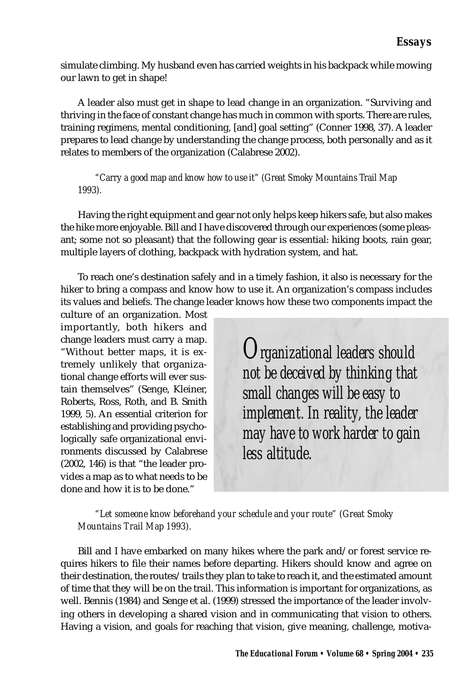simulate climbing. My husband even has carried weights in his backpack while mowing our lawn to get in shape!

A leader also must get in shape to lead change in an organization. "Surviving and thriving in the face of constant change has much in common with sports. There are rules, training regimens, mental conditioning, [and] goal setting" (Conner 1998, 37). A leader prepares to lead change by understanding the change process, both personally and as it relates to members of the organization (Calabrese 2002).

*"Carry a good map and know how to use it" (Great Smoky Mountains Trail Map 1993).*

Having the right equipment and gear not only helps keep hikers safe, but also makes the hike more enjoyable. Bill and I have discovered through our experiences (some pleasant; some not so pleasant) that the following gear is essential: hiking boots, rain gear, multiple layers of clothing, backpack with hydration system, and hat.

To reach one's destination safely and in a timely fashion, it also is necessary for the hiker to bring a compass and know how to use it. An organization's compass includes its values and beliefs. The change leader knows how these two components impact the

culture of an organization. Most importantly, both hikers and change leaders must carry a map. "Without better maps, it is extremely unlikely that organizational change efforts will ever sustain themselves" (Senge, Kleiner, Roberts, Ross, Roth, and B. Smith 1999, 5). An essential criterion for establishing and providing psychologically safe organizational environments discussed by Calabrese (2002, 146) is that "the leader provides a map as to what needs to be done and how it is to be done."

*Organizational leaders should not be deceived by thinking that small changes will be easy to implement. In reality, the leader may have to work harder to gain less altitude.*

#### *"Let someone know beforehand your schedule and your route" (Great Smoky Mountains Trail Map 1993).*

Bill and I have embarked on many hikes where the park and/or forest service requires hikers to file their names before departing. Hikers should know and agree on their destination, the routes/trails they plan to take to reach it, and the estimated amount of time that they will be on the trail. This information is important for organizations, as well. Bennis (1984) and Senge et al. (1999) stressed the importance of the leader involving others in developing a shared vision and in communicating that vision to others. Having a vision, and goals for reaching that vision, give meaning, challenge, motiva-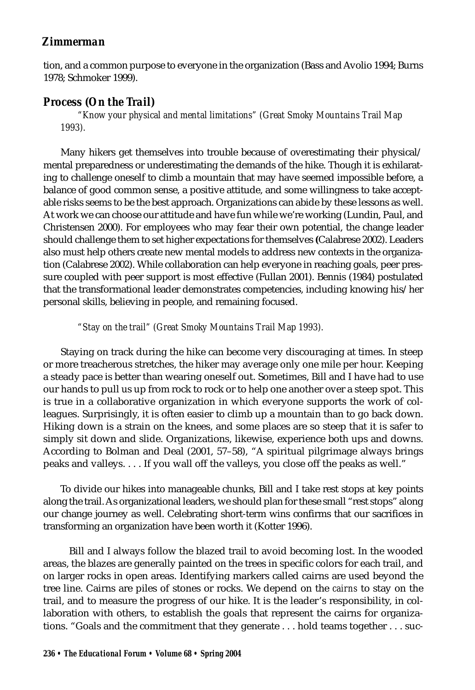tion, and a common purpose to everyone in the organization (Bass and Avolio 1994; Burns 1978; Schmoker 1999).

# *Process (On the Trail)*

*"Know your physical and mental limitations" (Great Smoky Mountains Trail Map 1993).*

Many hikers get themselves into trouble because of overestimating their physical/ mental preparedness or underestimating the demands of the hike. Though it is exhilarating to challenge oneself to climb a mountain that may have seemed impossible before, a balance of good common sense, a positive attitude, and some willingness to take acceptable risks seems to be the best approach. Organizations can abide by these lessons as well. At work we can choose our attitude and have fun while we're working (Lundin, Paul, and Christensen 2000). For employees who may fear their own potential, the change leader should challenge them to set higher expectations for themselves **(**Calabrese 2002). Leaders also must help others create new mental models to address new contexts in the organization (Calabrese 2002). While collaboration can help everyone in reaching goals, peer pressure coupled with peer support is most effective (Fullan 2001). Bennis (1984) postulated that the transformational leader demonstrates competencies, including knowing his/her personal skills, believing in people, and remaining focused.

## *"Stay on the trail" (Great Smoky Mountains Trail Map 1993).*

Staying on track during the hike can become very discouraging at times. In steep or more treacherous stretches, the hiker may average only one mile per hour. Keeping a steady pace is better than wearing oneself out. Sometimes, Bill and I have had to use our hands to pull us up from rock to rock or to help one another over a steep spot. This is true in a collaborative organization in which everyone supports the work of colleagues. Surprisingly, it is often easier to climb up a mountain than to go back down. Hiking down is a strain on the knees, and some places are so steep that it is safer to simply sit down and slide. Organizations, likewise, experience both ups and downs. According to Bolman and Deal (2001, 57–58), "A spiritual pilgrimage always brings peaks and valleys. . . . If you wall off the valleys, you close off the peaks as well."

To divide our hikes into manageable chunks, Bill and I take rest stops at key points along the trail. As organizational leaders, we should plan for these small "rest stops" along our change journey as well. Celebrating short-term wins confirms that our sacrifices in transforming an organization have been worth it (Kotter 1996).

Bill and I always follow the blazed trail to avoid becoming lost. In the wooded areas, the blazes are generally painted on the trees in specific colors for each trail, and on larger rocks in open areas. Identifying markers called cairns are used beyond the tree line. Cairns are piles of stones or rocks. We depend on the *cairns* to stay on the trail, and to measure the progress of our hike. It is the leader's responsibility, in collaboration with others, to establish the goals that represent the cairns for organizations. "Goals and the commitment that they generate . . . hold teams together . . . suc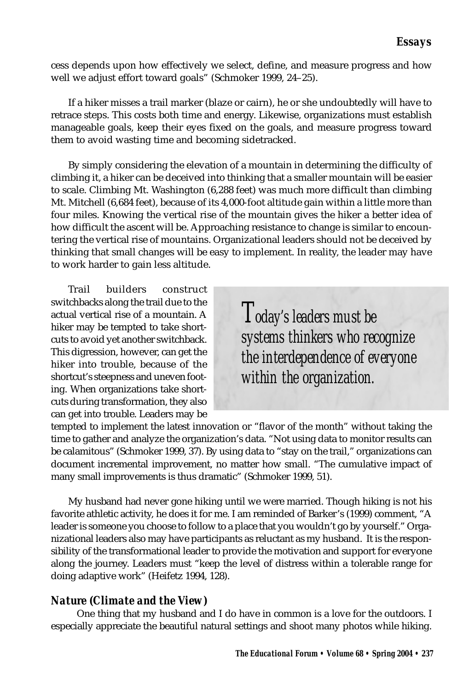cess depends upon how effectively we select, define, and measure progress and how well we adjust effort toward goals" (Schmoker 1999, 24–25).

If a hiker misses a trail marker (blaze or cairn), he or she undoubtedly will have to retrace steps. This costs both time and energy. Likewise, organizations must establish manageable goals, keep their eyes fixed on the goals, and measure progress toward them to avoid wasting time and becoming sidetracked.

By simply considering the elevation of a mountain in determining the difficulty of climbing it, a hiker can be deceived into thinking that a smaller mountain will be easier to scale. Climbing Mt. Washington (6,288 feet) was much more difficult than climbing Mt. Mitchell (6,684 feet), because of its 4,000-foot altitude gain within a little more than four miles. Knowing the vertical rise of the mountain gives the hiker a better idea of how difficult the ascent will be. Approaching resistance to change is similar to encountering the vertical rise of mountains. Organizational leaders should not be deceived by thinking that small changes will be easy to implement. In reality, the leader may have to work harder to gain less altitude.

Trail builders construct switchbacks along the trail due to the actual vertical rise of a mountain. A hiker may be tempted to take shortcuts to avoid yet another switchback. This digression, however, can get the hiker into trouble, because of the shortcut's steepness and uneven footing. When organizations take shortcuts during transformation, they also can get into trouble. Leaders may be

*Today's leaders must be systems thinkers who recognize the interdependence of everyone within the organization.*

tempted to implement the latest innovation or "flavor of the month" without taking the time to gather and analyze the organization's data. "Not using data to monitor results can be calamitous" (Schmoker 1999, 37). By using data to "stay on the trail," organizations can document incremental improvement, no matter how small. "The cumulative impact of many small improvements is thus dramatic" (Schmoker 1999, 51).

My husband had never gone hiking until we were married. Though hiking is not his favorite athletic activity, he does it for me. I am reminded of Barker's (1999) comment, "A leader is someone you choose to follow to a place that you wouldn't go by yourself." Organizational leaders also may have participants as reluctant as my husband. It is the responsibility of the transformational leader to provide the motivation and support for everyone along the journey. Leaders must "keep the level of distress within a tolerable range for doing adaptive work" (Heifetz 1994, 128).

# *Nature (Climate and the View)*

One thing that my husband and I do have in common is a love for the outdoors. I especially appreciate the beautiful natural settings and shoot many photos while hiking.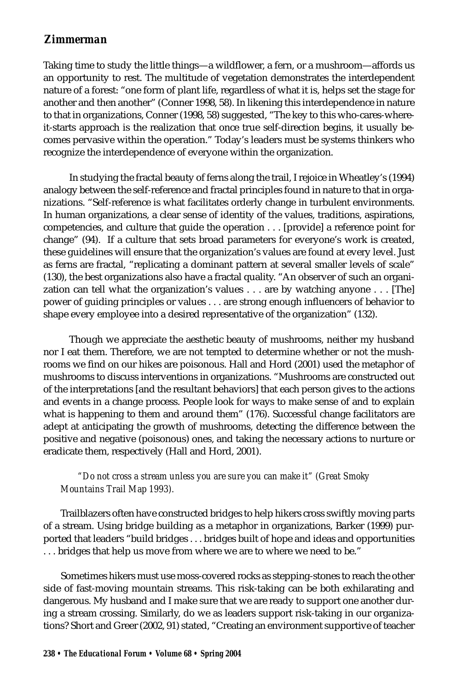Taking time to study the little things—a wildflower, a fern, or a mushroom—affords us an opportunity to rest. The multitude of vegetation demonstrates the interdependent nature of a forest: "one form of plant life, regardless of what it is, helps set the stage for another and then another" (Conner 1998, 58). In likening this interdependence in nature to that in organizations, Conner (1998, 58) suggested, "The key to this who-cares-whereit-starts approach is the realization that once true self-direction begins, it usually becomes pervasive within the operation." Today's leaders must be systems thinkers who recognize the interdependence of everyone within the organization.

In studying the fractal beauty of ferns along the trail, I rejoice in Wheatley's (1994) analogy between the self-reference and fractal principles found in nature to that in organizations. "Self-reference is what facilitates orderly change in turbulent environments. In human organizations, a clear sense of identity of the values, traditions, aspirations, competencies, and culture that guide the operation . . . [provide] a reference point for change" (94). If a culture that sets broad parameters for everyone's work is created, these guidelines will ensure that the organization's values are found at every level. Just as ferns are fractal, "replicating a dominant pattern at several smaller levels of scale" (130), the best organizations also have a fractal quality. "An observer of such an organization can tell what the organization's values . . . are by watching anyone . . . [The] power of guiding principles or values . . . are strong enough influencers of behavior to shape every employee into a desired representative of the organization" (132).

Though we appreciate the aesthetic beauty of mushrooms, neither my husband nor I eat them. Therefore, we are not tempted to determine whether or not the mushrooms we find on our hikes are poisonous. Hall and Hord (2001) used the metaphor of mushrooms to discuss interventions in organizations. "Mushrooms are constructed out of the interpretations [and the resultant behaviors] that each person gives to the actions and events in a change process. People look for ways to make sense of and to explain what is happening to them and around them" (176). Successful change facilitators are adept at anticipating the growth of mushrooms, detecting the difference between the positive and negative (poisonous) ones, and taking the necessary actions to nurture or eradicate them, respectively (Hall and Hord, 2001).

#### *"Do not cross a stream unless you are sure you can make it" (Great Smoky Mountains Trail Map 1993).*

Trailblazers often have constructed bridges to help hikers cross swiftly moving parts of a stream. Using bridge building as a metaphor in organizations, Barker (1999) purported that leaders "build bridges . . . bridges built of hope and ideas and opportunities . . . bridges that help us move from where we are to where we need to be."

Sometimes hikers must use moss-covered rocks as stepping-stones to reach the other side of fast-moving mountain streams. This risk-taking can be both exhilarating and dangerous. My husband and I make sure that we are ready to support one another during a stream crossing. Similarly, do we as leaders support risk-taking in our organizations? Short and Greer (2002, 91) stated, "Creating an environment supportive of teacher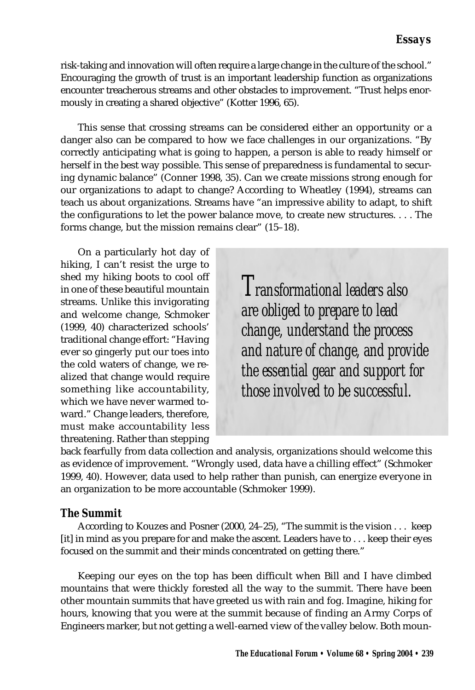risk-taking and innovation will often require a large change in the culture of the school." Encouraging the growth of trust is an important leadership function as organizations encounter treacherous streams and other obstacles to improvement. "Trust helps enormously in creating a shared objective" (Kotter 1996, 65).

This sense that crossing streams can be considered either an opportunity or a danger also can be compared to how we face challenges in our organizations. "By correctly anticipating what is going to happen, a person is able to ready himself or herself in the best way possible. This sense of preparedness is fundamental to securing dynamic balance" (Conner 1998, 35). Can we create missions strong enough for our organizations to adapt to change? According to Wheatley (1994), streams can teach us about organizations. Streams have "an impressive ability to adapt, to shift the configurations to let the power balance move, to create new structures. . . . The forms change, but the mission remains clear" (15–18).

On a particularly hot day of hiking, I can't resist the urge to shed my hiking boots to cool off in one of these beautiful mountain streams. Unlike this invigorating and welcome change, Schmoker (1999, 40) characterized schools' traditional change effort: "Having ever so gingerly put our toes into the cold waters of change, we realized that change would require something like accountability, which we have never warmed toward." Change leaders, therefore, must make accountability less threatening. Rather than stepping

*Transformational leaders also are obliged to prepare to lead change, understand the process and nature of change, and provide the essential gear and support for those involved to be successful.*

back fearfully from data collection and analysis, organizations should welcome this as evidence of improvement. "Wrongly used, data have a chilling effect" (Schmoker 1999, 40). However, data used to help rather than punish, can energize everyone in an organization to be more accountable (Schmoker 1999).

## *The Summit*

According to Kouzes and Posner (2000, 24–25), "The summit is the vision . . . keep [it] in mind as you prepare for and make the ascent. Leaders have to . . . keep their eyes focused on the summit and their minds concentrated on getting there."

Keeping our eyes on the top has been difficult when Bill and I have climbed mountains that were thickly forested all the way to the summit. There have been other mountain summits that have greeted us with rain and fog. Imagine, hiking for hours, knowing that you were at the summit because of finding an Army Corps of Engineers marker, but not getting a well-earned view of the valley below. Both moun-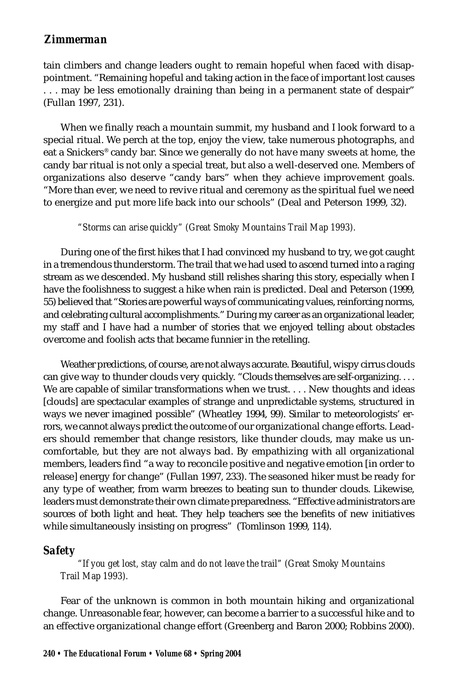tain climbers and change leaders ought to remain hopeful when faced with disappointment. "Remaining hopeful and taking action in the face of important lost causes . . . may be less emotionally draining than being in a permanent state of despair" (Fullan 1997, 231).

When we finally reach a mountain summit, my husband and I look forward to a special ritual. We perch at the top, enjoy the view, take numerous photographs, *and* eat a Snickers® candy bar. Since we generally do not have many sweets at home, the candy bar ritual is not only a special treat, but also a well-deserved one. Members of organizations also deserve "candy bars" when they achieve improvement goals. "More than ever, we need to revive ritual and ceremony as the spiritual fuel we need to energize and put more life back into our schools" (Deal and Peterson 1999, 32).

#### *"Storms can arise quickly" (Great Smoky Mountains Trail Map 1993).*

During one of the first hikes that I had convinced my husband to try, we got caught in a tremendous thunderstorm. The trail that we had used to ascend turned into a raging stream as we descended. My husband still relishes sharing this story, especially when I have the foolishness to suggest a hike when rain is predicted. Deal and Peterson (1999, 55) believed that "Stories are powerful ways of communicating values, reinforcing norms, and celebrating cultural accomplishments." During my career as an organizational leader, my staff and I have had a number of stories that we enjoyed telling about obstacles overcome and foolish acts that became funnier in the retelling.

Weather predictions, of course, are not always accurate. Beautiful, wispy cirrus clouds can give way to thunder clouds very quickly. "Clouds themselves are self-organizing. . . . We are capable of similar transformations when we trust. . . . New thoughts and ideas [clouds] are spectacular examples of strange and unpredictable systems, structured in ways we never imagined possible" (Wheatley 1994, 99). Similar to meteorologists' errors, we cannot always predict the outcome of our organizational change efforts. Leaders should remember that change resistors, like thunder clouds, may make us uncomfortable, but they are not always bad. By empathizing with all organizational members, leaders find "a way to reconcile positive and negative emotion [in order to release] energy for change" (Fullan 1997, 233). The seasoned hiker must be ready for any type of weather, from warm breezes to beating sun to thunder clouds. Likewise, leaders must demonstrate their own climate preparedness. "Effective administrators are sources of both light and heat. They help teachers see the benefits of new initiatives while simultaneously insisting on progress" (Tomlinson 1999, 114).

#### *Safety*

*"If you get lost, stay calm and do not leave the trail" (Great Smoky Mountains Trail Map 1993).*

Fear of the unknown is common in both mountain hiking and organizational change. Unreasonable fear, however, can become a barrier to a successful hike and to an effective organizational change effort (Greenberg and Baron 2000; Robbins 2000).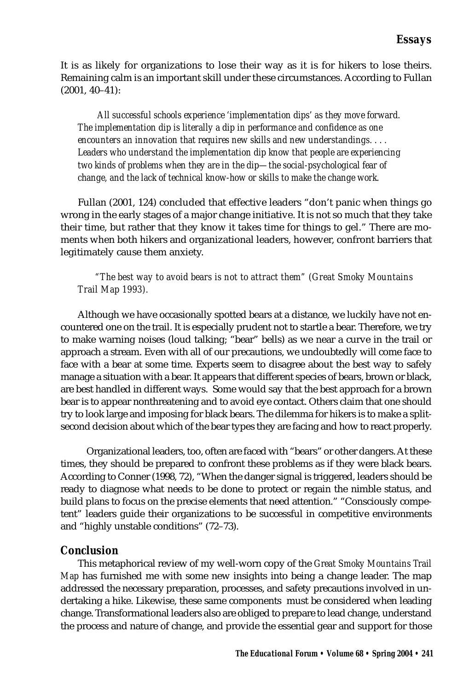It is as likely for organizations to lose their way as it is for hikers to lose theirs. Remaining calm is an important skill under these circumstances. According to Fullan (2001, 40–41):

 *All successful schools experience 'implementation dips' as they move forward. The implementation dip is literally a dip in performance and confidence as one encounters an innovation that requires new skills and new understandings. . . . Leaders who understand the implementation dip know that people are experiencing two kinds of problems when they are in the dip—the social-psychological fear of change, and the lack of technical know-how or skills to make the change work.*

Fullan (2001, 124) concluded that effective leaders "don't panic when things go wrong in the early stages of a major change initiative. It is not so much that they take their time, but rather that they know it takes time for things to gel." There are moments when both hikers and organizational leaders, however, confront barriers that legitimately cause them anxiety.

#### *"The best way to avoid bears is not to attract them" (Great Smoky Mountains Trail Map 1993).*

Although we have occasionally spotted bears at a distance, we luckily have not encountered one on the trail. It is especially prudent not to startle a bear. Therefore, we try to make warning noises (loud talking; "bear" bells) as we near a curve in the trail or approach a stream. Even with all of our precautions, we undoubtedly will come face to face with a bear at some time. Experts seem to disagree about the best way to safely manage a situation with a bear. It appears that different species of bears, brown or black, are best handled in different ways. Some would say that the best approach for a brown bear is to appear nonthreatening and to avoid eye contact. Others claim that one should try to look large and imposing for black bears. The dilemma for hikers is to make a splitsecond decision about which of the bear types they are facing and how to react properly.

Organizational leaders, too, often are faced with "bears" or other dangers. At these times, they should be prepared to confront these problems as if they were black bears. According to Conner (1998, 72), "When the danger signal is triggered, leaders should be ready to diagnose what needs to be done to protect or regain the nimble status, and build plans to focus on the precise elements that need attention." "Consciously competent" leaders guide their organizations to be successful in competitive environments and "highly unstable conditions" (72–73).

## *Conclusion*

This metaphorical review of my well-worn copy of the *Great Smoky Mountains Trail Map* has furnished me with some new insights into being a change leader. The map addressed the necessary preparation, processes, and safety precautions involved in undertaking a hike. Likewise, these same components must be considered when leading change. Transformational leaders also are obliged to prepare to lead change, understand the process and nature of change, and provide the essential gear and support for those